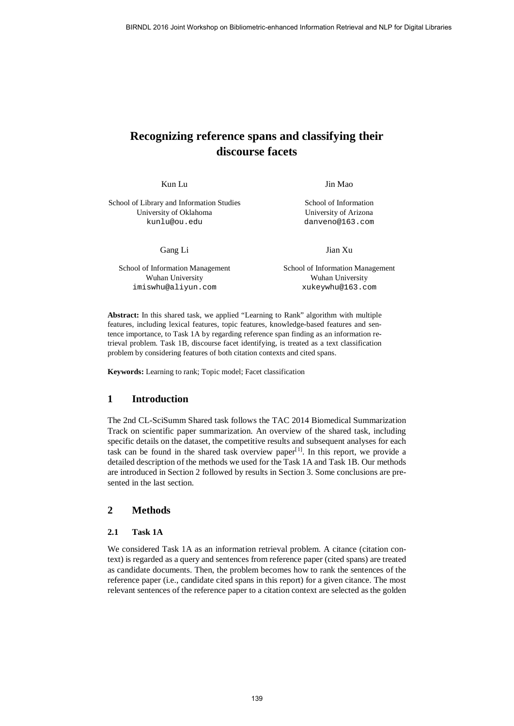# **Recognizing reference spans and classifying their discourse facets**

Kun Lu

School of Library and Information Studies University of Oklahoma [kunlu@ou.edu](mailto:kunlu@ou.edu)

Gang Li

School of Information Management Wuhan University [imiswhu@aliyun.com](mailto:imiswhu@aliyun.com)

Jin Mao

School of Information University of Arizona [danveno@163.com](mailto:danveno@163.com)

Jian Xu

School of Information Management Wuhan University [xukeywhu@163.com](mailto:xukeywhu@163.com)

**Abstract:** In this shared task, we applied "Learning to Rank" algorithm with multiple features, including lexical features, topic features, knowledge-based features and sentence importance, to Task 1A by regarding reference span finding as an information retrieval problem. Task 1B, discourse facet identifying, is treated as a text classification problem by considering features of both citation contexts and cited spans.

**Keywords:** Learning to rank; Topic model; Facet classification

## **1 Introduction**

The 2nd CL-SciSumm Shared task follows the TAC 2014 Biomedical Summarization Track on scientific paper summarization. An overview of the shared task, including specific details on the dataset, the competitive results and subsequent analyses for each task can be found in the shared task overview paper $[1]$  $[1]$ . In this report, we provide a detailed description of the methods we used for the Task 1A and Task 1B. Our methods are introduced in Section 2 followed by results in Section 3. Some conclusions are presented in the last section.

# **2 Methods**

#### **2.1 Task 1A**

We considered Task 1A as an information retrieval problem. A citance (citation context) is regarded as a query and sentences from reference paper (cited spans) are treated as candidate documents. Then, the problem becomes how to rank the sentences of the reference paper (i.e., candidate cited spans in this report) for a given citance. The most relevant sentences of the reference paper to a citation context are selected as the golden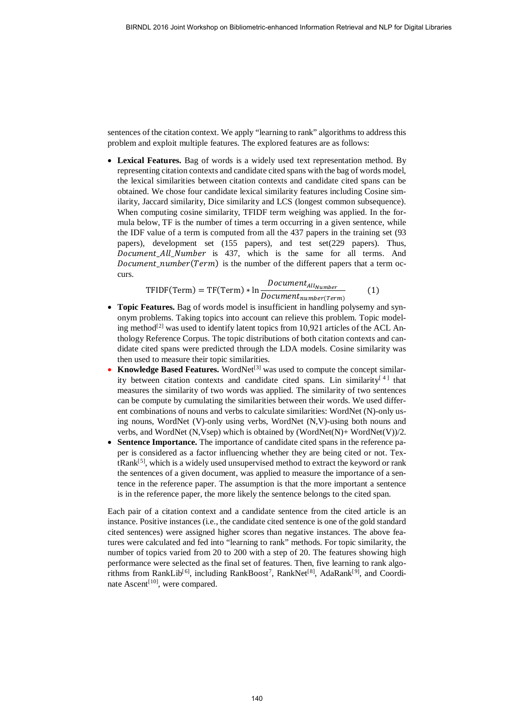sentences of the citation context. We apply "learning to rank" algorithms to address this problem and exploit multiple features. The explored features are as follows:

• **Lexical Features.** Bag of words is a widely used text representation method. By representing citation contexts and candidate cited spans with the bag of words model, the lexical similarities between citation contexts and candidate cited spans can be obtained. We chose four candidate lexical similarity features including Cosine similarity, Jaccard similarity, Dice similarity and LCS (longest common subsequence). When computing cosine similarity, TFIDF term weighing was applied. In the formula below, TF is the number of times a term occurring in a given sentence, while the IDF value of a term is computed from all the 437 papers in the training set (93 papers), development set (155 papers), and test set(229 papers). Thus, Document\_All\_Number is 437, which is the same for all terms. And Document\_number ( $Term$ ) is the number of the different papers that a term occurs.

$$
\text{TFIDF(Term)} = \text{TF(Term)} * \ln \frac{Document_{AllNumber}}{Document_{number(Term)}} \tag{1}
$$

- **Topic Features.** Bag of words model is insufficient in handling polysemy and synonym problems. Taking topics into account can relieve this problem. Topic model-ing method<sup>[[2](#page-6-0)]</sup> was used to identify latent topics from 10,921 articles of the ACL Anthology Reference Corpus. The topic distributions of both citation contexts and candidate cited spans were predicted through the LDA models. Cosine similarity was then used to measure their topic similarities.
- **Knowledge Based Features.** WordNet<sup>[[3](#page-6-1)]</sup> was used to compute the concept similar-ity between citation contexts and candidate cited spans. Lin similarity<sup>[[4](#page-6-2)]</sup> that measures the similarity of two words was applied. The similarity of two sentences can be compute by cumulating the similarities between their words. We used different combinations of nouns and verbs to calculate similarities: WordNet (N)-only using nouns, WordNet (V)-only using verbs, WordNet (N,V)-using both nouns and verbs, and WordNet (N,Vsep) which is obtained by (WordNet(N)+ WordNet(V))/2.
- **Sentence Importance.** The importance of candidate cited spans in the reference paper is considered as a factor influencing whether they are being cited or not. Tex-tRank<sup>[[5\]](#page-6-3)</sup>, which is a widely used unsupervised method to extract the keyword or rank the sentences of a given document, was applied to measure the importance of a sentence in the reference paper. The assumption is that the more important a sentence is in the reference paper, the more likely the sentence belongs to the cited span.

Each pair of a citation context and a candidate sentence from the cited article is an instance. Positive instances (i.e., the candidate cited sentence is one of the gold standard cited sentences) were assigned higher scores than negative instances. The above features were calculated and fed into "learning to rank" methods. For topic similarity, the number of topics varied from 20 to 200 with a step of 20. The features showing high performance were selected as the final set of features. Then, five learning to rank algo-rithms from RankLib<sup>[[6](#page-6-4)]</sup>, including RankBoost<sup>[7](#page-6-5)</sup>, RankNet<sup>[[8](#page-6-6)]</sup>, AdaRank<sup>[[9](#page-6-7)]</sup>, and Coordi-nate Ascent<sup>[[10\]](#page-6-8)</sup>, were compared.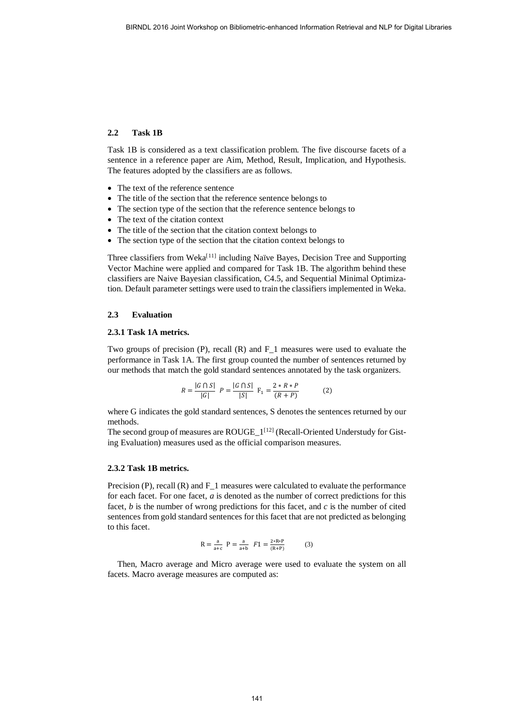#### **2.2 Task 1B**

Task 1B is considered as a text classification problem. The five discourse facets of a sentence in a reference paper are Aim, Method, Result, Implication, and Hypothesis. The features adopted by the classifiers are as follows.

- The text of the reference sentence
- The title of the section that the reference sentence belongs to
- The section type of the section that the reference sentence belongs to
- The text of the citation context
- The title of the section that the citation context belongs to
- The section type of the section that the citation context belongs to

Three classifiers from Weka<sup>[[11](#page-6-9)]</sup> including Naïve Bayes, Decision Tree and Supporting Vector Machine were applied and compared for Task 1B. The algorithm behind these classifiers are Naive Bayesian classification, C4.5, and Sequential Minimal Optimization. Default parameter settings were used to train the classifiers implemented in Weka.

#### **2.3 Evaluation**

#### **2.3.1 Task 1A metrics.**

Two groups of precision (P), recall (R) and F\_1 measures were used to evaluate the performance in Task 1A. The first group counted the number of sentences returned by our methods that match the gold standard sentences annotated by the task organizers.

$$
R = \frac{|G \cap S|}{|G|} \quad P = \frac{|G \cap S|}{|S|} \quad F_1 = \frac{2 \cdot R \cdot P}{(R + P)} \tag{2}
$$

where G indicates the gold standard sentences, S denotes the sentences returned by our methods.

The second group of measures are ROUGE\_1<sup>[[12\]](#page-6-10)</sup> (Recall-Oriented Understudy for Gisting Evaluation) measures used as the official comparison measures.

#### **2.3.2 Task 1B metrics.**

Precision (P), recall (R) and F<sub>1</sub> measures were calculated to evaluate the performance for each facet. For one facet, *a* is denoted as the number of correct predictions for this facet, *b* is the number of wrong predictions for this facet, and *c* is the number of cited sentences from gold standard sentences for this facet that are not predicted as belonging to this facet.

$$
R = \frac{a}{a+c} \quad P = \frac{a}{a+b} \quad F1 = \frac{2 * R * P}{(R+P)}
$$
(3)

Then, Macro average and Micro average were used to evaluate the system on all facets. Macro average measures are computed as: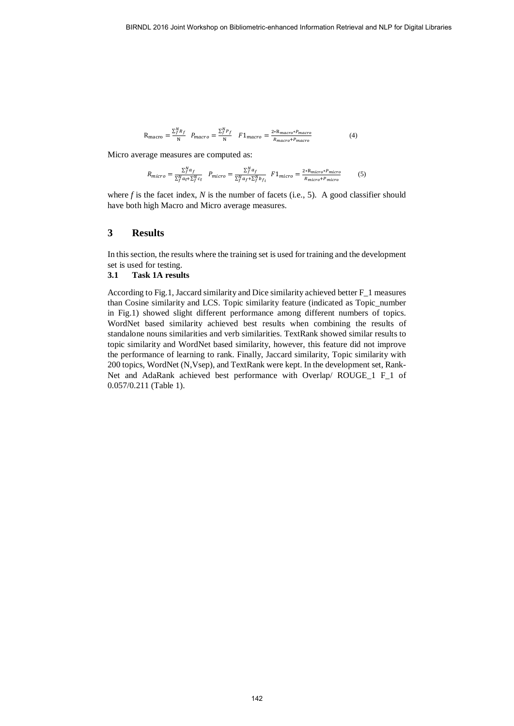$$
R_{macro} = \frac{\sum_{j}^{N} R_{f}}{N} \quad P_{macro} = \frac{\sum_{j}^{N} P_{f}}{N} \quad F1_{macro} = \frac{2 * R_{macro} * P_{macro}}{R_{macro} + P_{macro}} \tag{4}
$$

Micro average measures are computed as:

$$
R_{micro} = \frac{\sum_{j}^{N} a_{f}}{\sum_{j}^{N} a_{f} + \sum_{j}^{N} c_{f}} \quad P_{micro} = \frac{\sum_{j}^{N} a_{f}}{\sum_{j}^{N} a_{f} + \sum_{j}^{N} b_{f}} \quad F1_{micro} = \frac{2 \cdot R_{micro} \cdot P_{micro}}{R_{micro} + P_{micro}} \tag{5}
$$

where  $f$  is the facet index,  $N$  is the number of facets (i.e., 5). A good classifier should have both high Macro and Micro average measures.

# **3 Results**

In this section, the results where the training set is used for training and the development set is used for testing.

#### **3.1 Task 1A results**

According to Fig.1, Jaccard similarity and Dice similarity achieved better F\_1 measures than Cosine similarity and LCS. Topic similarity feature (indicated as Topic\_number in Fig.1) showed slight different performance among different numbers of topics. WordNet based similarity achieved best results when combining the results of standalone nouns similarities and verb similarities. TextRank showed similar results to topic similarity and WordNet based similarity, however, this feature did not improve the performance of learning to rank. Finally, Jaccard similarity, Topic similarity with 200 topics, WordNet (N,Vsep), and TextRank were kept. In the development set, Rank-Net and AdaRank achieved best performance with Overlap/ ROUGE\_1 F\_1 of 0.057/0.211 (Table 1).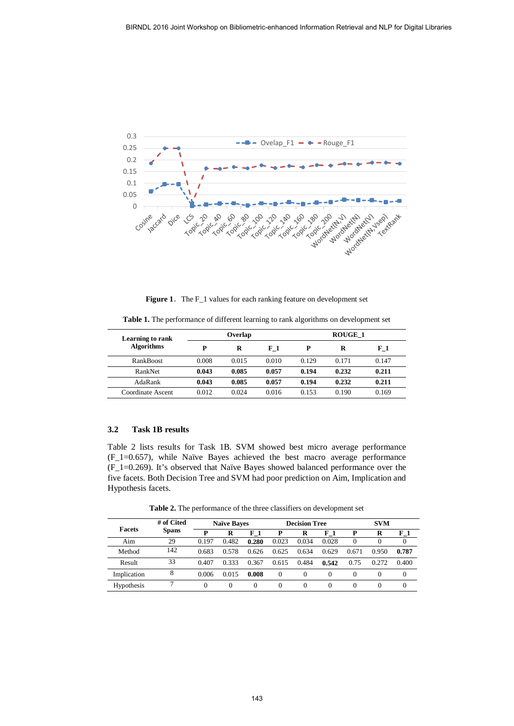

Figure 1. The F<sub>1</sub> values for each ranking feature on development set

**Table 1.** The performance of different learning to rank algorithms on development set

| <b>Learning to rank</b><br><b>Algorithms</b> |       | Overlap |       | <b>ROUGE 1</b> |       |                |  |
|----------------------------------------------|-------|---------|-------|----------------|-------|----------------|--|
|                                              | P     | R       | $F_1$ | P              | R     | F <sub>1</sub> |  |
| <b>RankBoost</b>                             | 0.008 | 0.015   | 0.010 | 0.129          | 0.171 | 0.147          |  |
| RankNet                                      | 0.043 | 0.085   | 0.057 | 0.194          | 0.232 | 0.211          |  |
| AdaRank                                      | 0.043 | 0.085   | 0.057 | 0.194          | 0.232 | 0.211          |  |
| Coordinate Ascent                            | 0.012 | 0.024   | 0.016 | 0.153          | 0.190 | 0.169          |  |

## **3.2 Task 1B results**

Table 2 lists results for Task 1B. SVM showed best micro average performance (F\_1=0.657), while Naïve Bayes achieved the best macro average performance (F\_1=0.269). It's observed that Naïve Bayes showed balanced performance over the five facets. Both Decision Tree and SVM had poor prediction on Aim, Implication and Hypothesis facets.

**Table 2.** The performance of the three classifiers on development set

| <b>Facets</b> | # of Cited<br><b>Spans</b> | <b>Naïve Baves</b> |       |                | <b>Decision Tree</b> |          |          | <b>SVM</b> |          |       |
|---------------|----------------------------|--------------------|-------|----------------|----------------------|----------|----------|------------|----------|-------|
|               |                            | D                  | R     | F <sub>1</sub> |                      | R        | $F_1$    | P          | R        | $F_1$ |
| Aim           | 29                         | 0.197              | 0.482 | 0.280          | 0.023                | 0.034    | 0.028    | $\Omega$   | $\theta$ | 0     |
| Method        | 142                        | 0.683              | 0.578 | 0.626          | 0.625                | 0.634    | 0.629    | 0.671      | 0.950    | 0.787 |
| Result        | 33                         | 0.407              | 0.333 | 0.367          | 0.615                | 0.484    | 0.542    | 0.75       | 0.272    | 0.400 |
| Implication   | 8                          | 0.006              | 0.015 | 0.008          | 0                    | $\Omega$ | $\Omega$ | $\Omega$   | 0        | 0     |
| Hypothesis    |                            |                    | 0     | 0              | 0                    | 0        | $\Omega$ | $^{0}$     | 0        | 0     |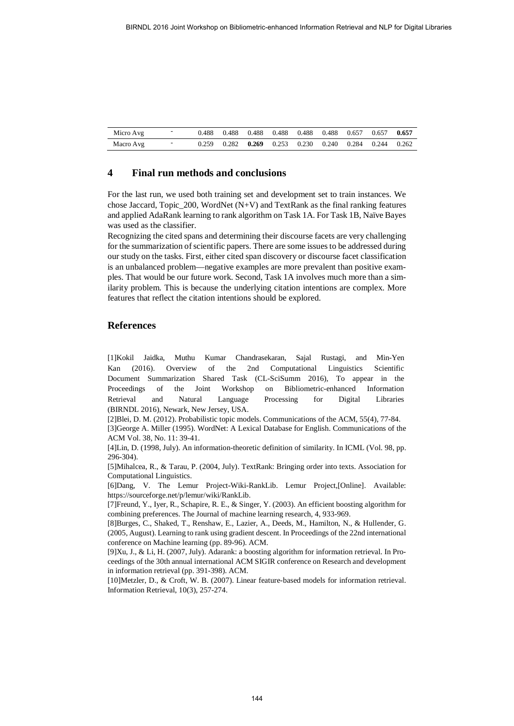| Micro Avg | $\overline{\phantom{0}}$ |       |  | 0.488 0.488 0.488 0.488 0.488 0.488 0.657 0.657 0.657           |  |  |  |
|-----------|--------------------------|-------|--|-----------------------------------------------------------------|--|--|--|
| Macro Avg | -                        | 0.259 |  | $0.282$ $0.269$ $0.253$ $0.230$ $0.240$ $0.284$ $0.244$ $0.262$ |  |  |  |

# **4 Final run methods and conclusions**

For the last run, we used both training set and development set to train instances. We chose Jaccard, Topic  $200$ , WordNet (N+V) and TextRank as the final ranking features and applied AdaRank learning to rank algorithm on Task 1A. For Task 1B, Naïve Bayes was used as the classifier.

Recognizing the cited spans and determining their discourse facets are very challenging for the summarization of scientific papers. There are some issues to be addressed during our study on the tasks. First, either cited span discovery or discourse facet classification is an unbalanced problem—negative examples are more prevalent than positive examples. That would be our future work. Second, Task 1A involves much more than a similarity problem. This is because the underlying citation intentions are complex. More features that reflect the citation intentions should be explored.

## **References**

<span id="page-5-0"></span>[1]Kokil Jaidka, Muthu Kumar Chandrasekaran, Sajal Rustagi, and Min-Yen Kan (2016). Overview of the 2nd Computational Linguistics Scientific Document Summarization Shared Task (CL-SciSumm 2016), To appear in the Proceedings of the Joint Workshop on Bibliometric-enhanced Information Retrieval and Natural Language Processing for Digital Libraries (BIRNDL 2016), Newark, New Jersey, USA.

[2]Blei, D. M. (2012). Probabilistic topic models. Communications of the ACM, 55(4), 77-84.

[3]George A. Miller (1995). WordNet: A Lexical Database for English. Communications of the ACM Vol. 38, No. 11: 39-41.

[4]Lin, D. (1998, July). An information-theoretic definition of similarity. In ICML (Vol. 98, pp. 296-304).

[5]Mihalcea, R., & Tarau, P. (2004, July). TextRank: Bringing order into texts. Association for Computational Linguistics.

[6]Dang, V. The Lemur Project-Wiki-RankLib. Lemur Project,[Online]. Available: https://sourceforge.net/p/lemur/wiki/RankLib.

[7]Freund, Y., Iyer, R., Schapire, R. E., & Singer, Y. (2003). An efficient boosting algorithm for combining preferences. The Journal of machine learning research, 4, 933-969.

[8]Burges, C., Shaked, T., Renshaw, E., Lazier, A., Deeds, M., Hamilton, N., & Hullender, G. (2005, August). Learning to rank using gradient descent. In Proceedings of the 22nd international conference on Machine learning (pp. 89-96). ACM.

[9]Xu, J., & Li, H. (2007, July). Adarank: a boosting algorithm for information retrieval. In Proceedings of the 30th annual international ACM SIGIR conference on Research and development in information retrieval (pp. 391-398). ACM.

[10]Metzler, D., & Croft, W. B. (2007). Linear feature-based models for information retrieval. Information Retrieval, 10(3), 257-274.